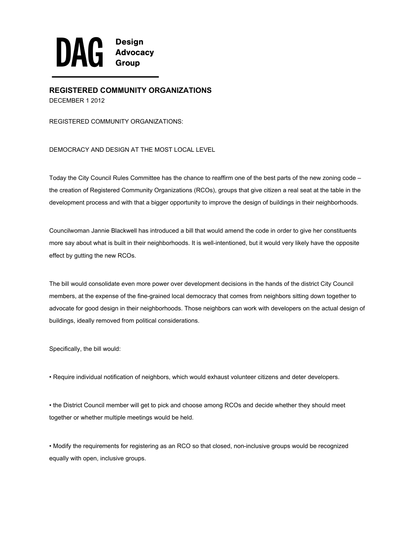

**REGISTERED COMMUNITY ORGANIZATIONS** DECEMBER 1 2012

REGISTERED COMMUNITY ORGANIZATIONS:

DEMOCRACY AND DESIGN AT THE MOST LOCAL LEVEL

Today the City Council Rules Committee has the chance to reaffirm one of the best parts of the new zoning code – the creation of Registered Community Organizations (RCOs), groups that give citizen a real seat at the table in the development process and with that a bigger opportunity to improve the design of buildings in their neighborhoods.

Councilwoman Jannie Blackwell has introduced a bill that would amend the code in order to give her constituents more say about what is built in their neighborhoods. It is well-intentioned, but it would very likely have the opposite effect by gutting the new RCOs.

The bill would consolidate even more power over development decisions in the hands of the district City Council members, at the expense of the fine-grained local democracy that comes from neighbors sitting down together to advocate for good design in their neighborhoods. Those neighbors can work with developers on the actual design of buildings, ideally removed from political considerations.

Specifically, the bill would:

• Require individual notification of neighbors, which would exhaust volunteer citizens and deter developers.

• the District Council member will get to pick and choose among RCOs and decide whether they should meet together or whether multiple meetings would be held.

• Modify the requirements for registering as an RCO so that closed, non-inclusive groups would be recognized equally with open, inclusive groups.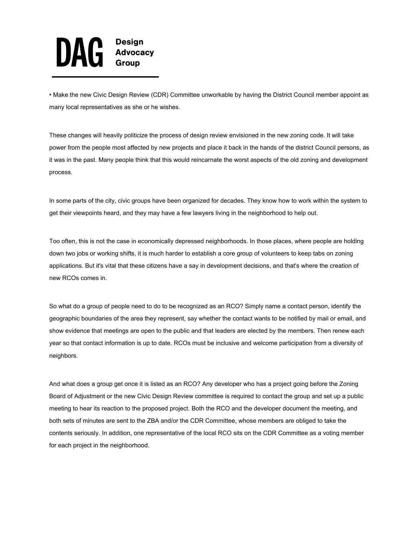

• Make the new Civic Design Review (CDR) Committee unworkable by having the District Council member appoint as many local representatives as she or he wishes.

These changes will heavily politicize the process of design review envisioned in the new zoning code. It will take power from the people most affected by new projects and place it back in the hands of the district Council persons, as it was in the past. Many people think that this would reincarnate the worst aspects of the old zoning and development process.

In some parts of the city, civic groups have been organized for decades. They know how to work within the system to get their viewpoints heard, and they may have a few lawyers living in the neighborhood to help out.

Too often, this is not the case in economically depressed neighborhoods. In those places, where people are holding down two jobs or working shifts, it is much harder to establish a core group of volunteers to keep tabs on zoning applications. But it's vital that these citizens have a say in development decisions, and that's where the creation of new RCOs comes in.

So what do a group of people need to do to be recognized as an RCO? Simply name a contact person, identify the geographic boundaries of the area they represent, say whether the contact wants to be notified by mail or email, and show evidence that meetings are open to the public and that leaders are elected by the members. Then renew each year so that contact information is up to date. RCOs must be inclusive and welcome participation from a diversity of neighbors.

And what does a group get once it is listed as an RCO? Any developer who has a project going before the Zoning Board of Adjustment or the new Civic Design Review committee is required to contact the group and set up a public meeting to hear its reaction to the proposed project. Both the RCO and the developer document the meeting, and both sets of minutes are sent to the ZBA and/or the CDR Committee, whose members are obliged to take the contents seriously. In addition, one representative of the local RCO sits on the CDR Committee as a voting member for each project in the neighborhood.